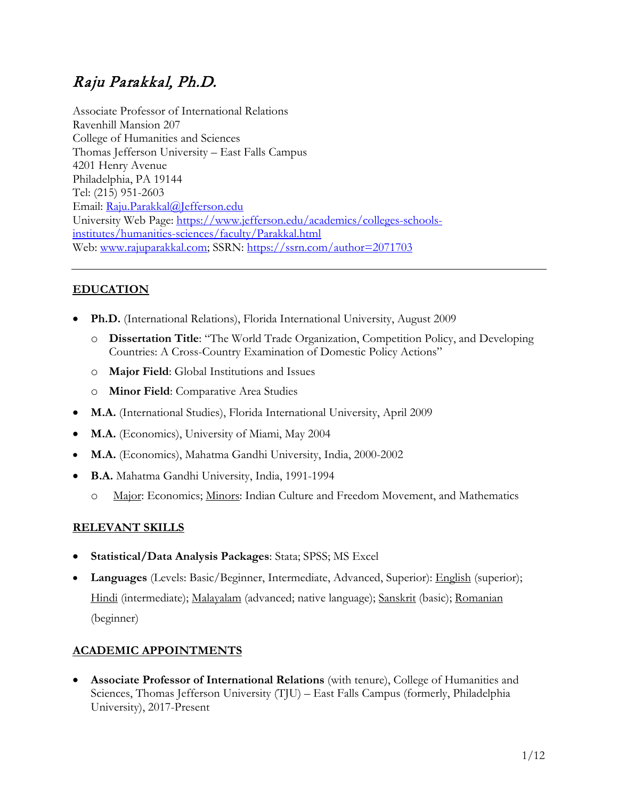# Raju Parakkal, Ph.D.

Associate Professor of International Relations Ravenhill Mansion 207 College of Humanities and Sciences Thomas Jefferson University – East Falls Campus 4201 Henry Avenue Philadelphia, PA 19144 Tel: (215) 951-2603 Email: [Raju.Parakkal@Jefferson.edu](mailto:Raju.Parakkal@Jefferson.edu)  University Web Page: [https://www.jefferson.edu/academics/colleges-schools](https://www.jefferson.edu/academics/colleges-schools-institutes/humanities-sciences/faculty/Parakkal.html)[institutes/humanities-sciences/faculty/Parakkal.html](https://www.jefferson.edu/academics/colleges-schools-institutes/humanities-sciences/faculty/Parakkal.html)  Web: [www.rajuparakkal.com;](http://www.rajuparakkal.com/) SSRN:<https://ssrn.com/author=2071703>

# **EDUCATION**

- **Ph.D.** (International Relations), Florida International University, August 2009
	- o **Dissertation Title**: "The World Trade Organization, Competition Policy, and Developing Countries: A Cross-Country Examination of Domestic Policy Actions"
	- o **Major Field**: Global Institutions and Issues
	- o **Minor Field**: Comparative Area Studies
- **M.A.** (International Studies), Florida International University, April 2009
- **M.A.** (Economics), University of Miami, May 2004
- **M.A.** (Economics), Mahatma Gandhi University, India, 2000-2002
- **B.A.** Mahatma Gandhi University, India, 1991-1994
	- o Major: Economics; Minors: Indian Culture and Freedom Movement, and Mathematics

## **RELEVANT SKILLS**

- **Statistical/Data Analysis Packages**: Stata; SPSS; MS Excel
- **Languages** (Levels: Basic/Beginner, Intermediate, Advanced, Superior): English (superior); Hindi (intermediate); Malayalam (advanced; native language); Sanskrit (basic); Romanian (beginner)

## **ACADEMIC APPOINTMENTS**

• **Associate Professor of International Relations** (with tenure), College of Humanities and Sciences, Thomas Jefferson University (TJU) – East Falls Campus (formerly, Philadelphia University), 2017-Present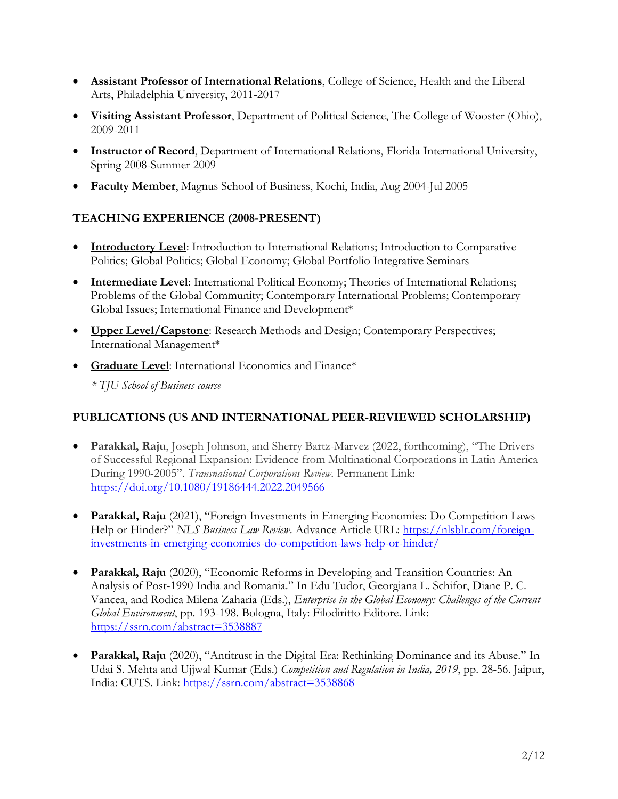- **Assistant Professor of International Relations**, College of Science, Health and the Liberal Arts, Philadelphia University, 2011-2017
- **Visiting Assistant Professor**, Department of Political Science, The College of Wooster (Ohio), 2009-2011
- **Instructor of Record**, Department of International Relations, Florida International University, Spring 2008-Summer 2009
- **Faculty Member**, Magnus School of Business, Kochi, India, Aug 2004-Jul 2005

#### **TEACHING EXPERIENCE (2008-PRESENT)**

- **Introductory Level**: Introduction to International Relations; Introduction to Comparative Politics; Global Politics; Global Economy; Global Portfolio Integrative Seminars
- **Intermediate Level**: International Political Economy; Theories of International Relations; Problems of the Global Community; Contemporary International Problems; Contemporary Global Issues; International Finance and Development\*
- **Upper Level/Capstone**: Research Methods and Design; Contemporary Perspectives; International Management\*
- **Graduate Level**: International Economics and Finance\*

*\* TJU School of Business course*

## **PUBLICATIONS (US AND INTERNATIONAL PEER-REVIEWED SCHOLARSHIP)**

- **Parakkal, Raju**, Joseph Johnson, and Sherry Bartz-Marvez (2022, forthcoming), "The Drivers of Successful Regional Expansion: Evidence from Multinational Corporations in Latin America During 1990-2005". *Transnational Corporations Review*. Permanent Link: <https://doi.org/10.1080/19186444.2022.2049566>
- **Parakkal, Raju** (2021), "Foreign Investments in Emerging Economies: Do Competition Laws Help or Hinder?" *NLS Business Law Review*. Advance Article URL: [https://nlsblr.com/foreign](https://nlsblr.com/foreign-investments-in-emerging-economies-do-competition-laws-help-or-hinder/)[investments-in-emerging-economies-do-competition-laws-help-or-hinder/](https://nlsblr.com/foreign-investments-in-emerging-economies-do-competition-laws-help-or-hinder/)
- **Parakkal, Raju** (2020), "Economic Reforms in Developing and Transition Countries: An Analysis of Post-1990 India and Romania." In Edu Tudor, Georgiana L. Schifor, Diane P. C. Vancea, and Rodica Milena Zaharia (Eds.), *Enterprise in the Global Economy: Challenges of the Current Global Environment*, pp. 193-198. Bologna, Italy: Filodiritto Editore. Link: <https://ssrn.com/abstract=3538887>
- **Parakkal, Raju** (2020), "Antitrust in the Digital Era: Rethinking Dominance and its Abuse." In Udai S. Mehta and Ujjwal Kumar (Eds.) *Competition and Regulation in India, 2019*, pp. 28-56. Jaipur, India: CUTS. Link:<https://ssrn.com/abstract=3538868>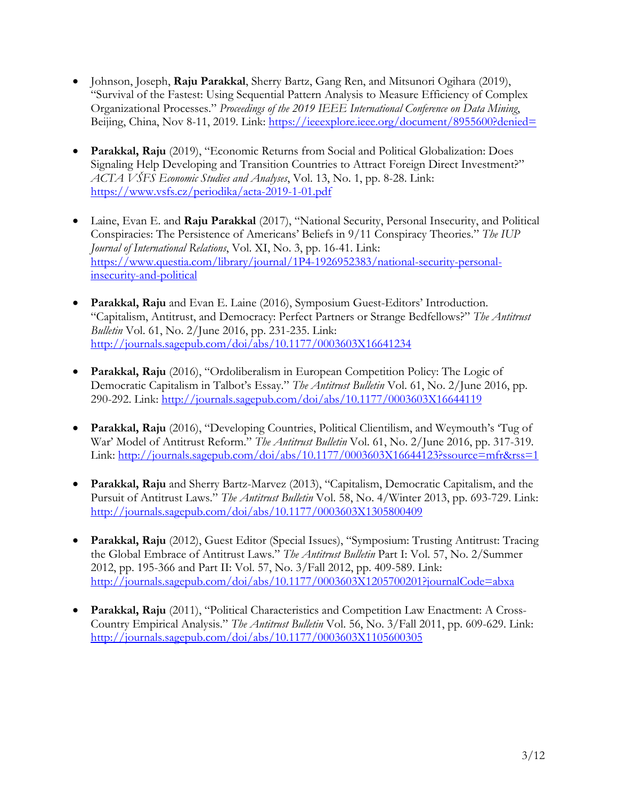- Johnson, Joseph, **Raju Parakkal**, Sherry Bartz, Gang Ren, and Mitsunori Ogihara (2019), "Survival of the Fastest: Using Sequential Pattern Analysis to Measure Efficiency of Complex Organizational Processes." *Proceedings of the 2019 IEEE International Conference on Data Mining*, Beijing, China, Nov 8-11, 2019. Link:<https://ieeexplore.ieee.org/document/8955600?denied=>
- **Parakkal, Raju** (2019), "Economic Returns from Social and Political Globalization: Does Signaling Help Developing and Transition Countries to Attract Foreign Direct Investment?" *ACTA VŠFS Economic Studies and Analyses*, Vol. 13, No. 1, pp. 8-28. Link: <https://www.vsfs.cz/periodika/acta-2019-1-01.pdf>
- Laine, Evan E. and **Raju Parakkal** (2017), "National Security, Personal Insecurity, and Political Conspiracies: The Persistence of Americans' Beliefs in 9/11 Conspiracy Theories." *The IUP Journal of International Relations*, Vol. XI, No. 3, pp. 16-41. Link: [https://www.questia.com/library/journal/1P4-1926952383/national-security-personal](https://www.questia.com/library/journal/1P4-1926952383/national-security-personal-insecurity-and-political)[insecurity-and-political](https://www.questia.com/library/journal/1P4-1926952383/national-security-personal-insecurity-and-political)
- **Parakkal, Raju** and Evan E. Laine (2016), Symposium Guest-Editors' Introduction. "Capitalism, Antitrust, and Democracy: Perfect Partners or Strange Bedfellows?" *The Antitrust Bulletin* Vol. 61, No. 2/June 2016, pp. 231-235. Link: <http://journals.sagepub.com/doi/abs/10.1177/0003603X16641234>
- **Parakkal, Raju** (2016), "Ordoliberalism in European Competition Policy: The Logic of Democratic Capitalism in Talbot's Essay." *The Antitrust Bulletin* Vol. 61, No. 2/June 2016, pp. 290-292. Link:<http://journals.sagepub.com/doi/abs/10.1177/0003603X16644119>
- **Parakkal, Raju** (2016), "Developing Countries, Political Clientilism, and Weymouth's 'Tug of War' Model of Antitrust Reform." *The Antitrust Bulletin* Vol. 61, No. 2/June 2016, pp. 317-319. Link:<http://journals.sagepub.com/doi/abs/10.1177/0003603X16644123?ssource=mfr&rss=1>
- **Parakkal, Raju** and Sherry Bartz-Marvez (2013), "Capitalism, Democratic Capitalism, and the Pursuit of Antitrust Laws." *The Antitrust Bulletin* Vol. 58, No. 4/Winter 2013, pp. 693-729. Link: <http://journals.sagepub.com/doi/abs/10.1177/0003603X1305800409>
- **Parakkal, Raju** (2012), Guest Editor (Special Issues), "Symposium: Trusting Antitrust: Tracing the Global Embrace of Antitrust Laws." *The Antitrust Bulletin* Part I: Vol. 57, No. 2/Summer 2012, pp. 195-366 and Part II: Vol. 57, No. 3/Fall 2012, pp. 409-589. Link: <http://journals.sagepub.com/doi/abs/10.1177/0003603X1205700201?journalCode=abxa>
- **Parakkal, Raju** (2011), "Political Characteristics and Competition Law Enactment: A Cross-Country Empirical Analysis." *The Antitrust Bulletin* Vol. 56, No. 3/Fall 2011, pp. 609-629. Link: <http://journals.sagepub.com/doi/abs/10.1177/0003603X1105600305>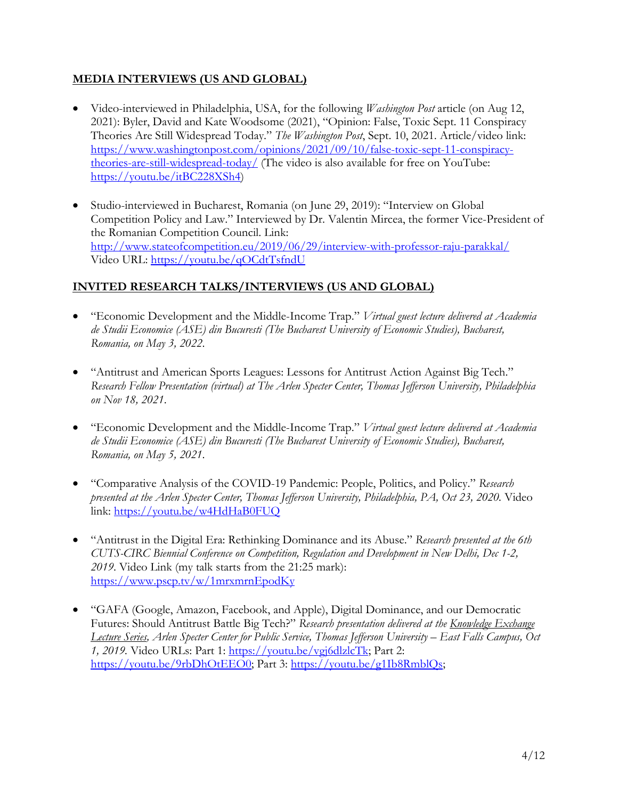## **MEDIA INTERVIEWS (US AND GLOBAL)**

- Video-interviewed in Philadelphia, USA, for the following *Washington Post* article (on Aug 12, 2021): Byler, David and Kate Woodsome (2021), "Opinion: False, Toxic Sept. 11 Conspiracy Theories Are Still Widespread Today." *The Washington Post*, Sept. 10, 2021. Article/video link: [https://www.washingtonpost.com/opinions/2021/09/10/false-toxic-sept-11-conspiracy](https://www.washingtonpost.com/opinions/2021/09/10/false-toxic-sept-11-conspiracy-theories-are-still-widespread-today/)[theories-are-still-widespread-today/](https://www.washingtonpost.com/opinions/2021/09/10/false-toxic-sept-11-conspiracy-theories-are-still-widespread-today/) (The video is also available for free on YouTube: [https://youtu.be/itBC228XSh4\)](https://youtu.be/itBC228XSh4)
- Studio-interviewed in Bucharest, Romania (on June 29, 2019): "Interview on Global Competition Policy and Law." Interviewed by Dr. Valentin Mircea, the former Vice-President of the Romanian Competition Council. Link: <http://www.stateofcompetition.eu/2019/06/29/interview-with-professor-raju-parakkal/> Video URL:<https://youtu.be/qOCdtTsfndU>

## **INVITED RESEARCH TALKS/INTERVIEWS (US AND GLOBAL)**

- "Economic Development and the Middle-Income Trap." *Virtual guest lecture delivered at Academia de Studii Economice (ASE) din Bucuresti (The Bucharest University of Economic Studies), Bucharest, Romania, on May 3, 2022*.
- "Antitrust and American Sports Leagues: Lessons for Antitrust Action Against Big Tech." *Research Fellow Presentation (virtual) at The Arlen Specter Center, Thomas Jefferson University, Philadelphia on Nov 18, 2021*.
- "Economic Development and the Middle-Income Trap." *Virtual guest lecture delivered at Academia de Studii Economice (ASE) din Bucuresti (The Bucharest University of Economic Studies), Bucharest, Romania, on May 5, 2021*.
- "Comparative Analysis of the COVID-19 Pandemic: People, Politics, and Policy." *Research presented at the Arlen Specter Center, Thomas Jefferson University, Philadelphia, PA, Oct 23, 2020.* Video link:<https://youtu.be/w4HdHaB0FUQ>
- "Antitrust in the Digital Era: Rethinking Dominance and its Abuse." *Research presented at the 6th CUTS-CIRC Biennial Conference on Competition, Regulation and Development in New Delhi, Dec 1-2, 2019*. Video Link (my talk starts from the 21:25 mark): <https://www.pscp.tv/w/1mrxmrnEpodKy>
- "GAFA (Google, Amazon, Facebook, and Apple), Digital Dominance, and our Democratic Futures: Should Antitrust Battle Big Tech?" *Research presentation delivered at the Knowledge Exchange Lecture Series, Arlen Specter Center for Public Service, Thomas Jefferson University – East Falls Campus, Oct 1, 2019.* Video URLs: Part 1: [https://youtu.be/vgj6dlzlcTk;](https://youtu.be/vgj6dlzlcTk) Part 2: [https://youtu.be/9rbDhOtEEO0;](https://youtu.be/9rbDhOtEEO0) Part 3: [https://youtu.be/g1Ib8RmblQs;](https://youtu.be/g1Ib8RmblQs)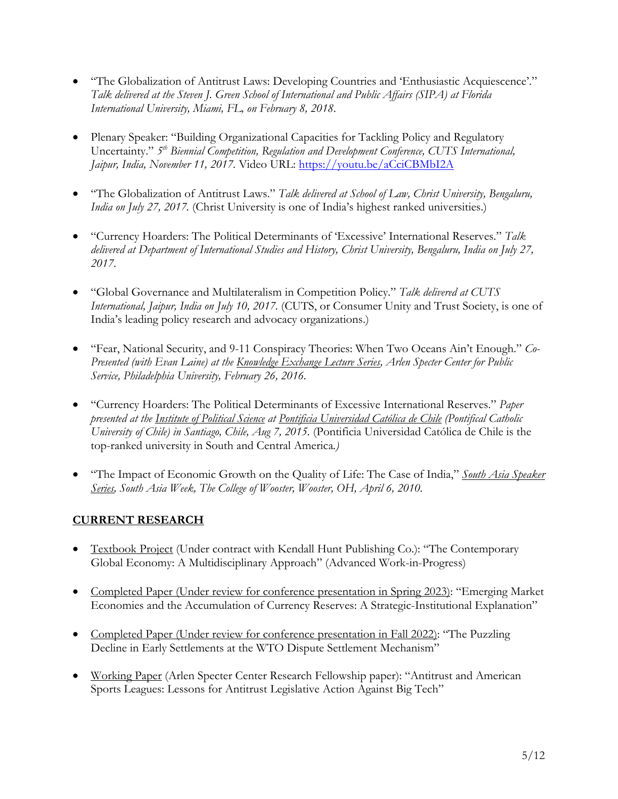- "The Globalization of Antitrust Laws: Developing Countries and 'Enthusiastic Acquiescence'." *Talk delivered at the Steven J. Green School of International and Public Affairs (SIPA) at Florida International University, Miami, FL, on February 8, 2018*.
- Plenary Speaker: "Building Organizational Capacities for Tackling Policy and Regulatory Uncertainty." *5th Biennial Competition, Regulation and Development Conference, CUTS International, Jaipur, India, November 11, 2017.* Video URL:<https://youtu.be/aCciCBMbI2A>
- "The Globalization of Antitrust Laws." *Talk delivered at School of Law, Christ University, Bengaluru, India on July 27, 2017.* (Christ University is one of India's highest ranked universities.)
- "Currency Hoarders: The Political Determinants of 'Excessive' International Reserves." *Talk delivered at Department of International Studies and History, Christ University, Bengaluru, India on July 27, 2017*.
- "Global Governance and Multilateralism in Competition Policy." *Talk delivered at CUTS International, Jaipur, India on July 10, 2017.* (CUTS, or Consumer Unity and Trust Society, is one of India's leading policy research and advocacy organizations.)
- "Fear, National Security, and 9-11 Conspiracy Theories: When Two Oceans Ain't Enough." *Co-Presented (with Evan Laine) at the Knowledge Exchange Lecture Series, Arlen Specter Center for Public Service, Philadelphia University, February 26, 2016.*
- "Currency Hoarders: The Political Determinants of Excessive International Reserves." *Paper presented at the Institute of Political Science at Pontificia Universidad Católica de Chile (Pontifical Catholic University of Chile) in Santiago, Chile, Aug 7, 2015.* (Pontificia Universidad Católica de Chile is the top-ranked university in South and Central America*.)*
- "The Impact of Economic Growth on the Quality of Life: The Case of India," *South Asia Speaker Series, South Asia Week, The College of Wooster, Wooster, OH, April 6, 2010.*

# **CURRENT RESEARCH**

- Textbook Project (Under contract with Kendall Hunt Publishing Co.): "The Contemporary Global Economy: A Multidisciplinary Approach" (Advanced Work-in-Progress)
- Completed Paper (Under review for conference presentation in Spring 2023): "Emerging Market Economies and the Accumulation of Currency Reserves: A Strategic-Institutional Explanation"
- Completed Paper (Under review for conference presentation in Fall 2022): "The Puzzling Decline in Early Settlements at the WTO Dispute Settlement Mechanism"
- Working Paper (Arlen Specter Center Research Fellowship paper): "Antitrust and American Sports Leagues: Lessons for Antitrust Legislative Action Against Big Tech"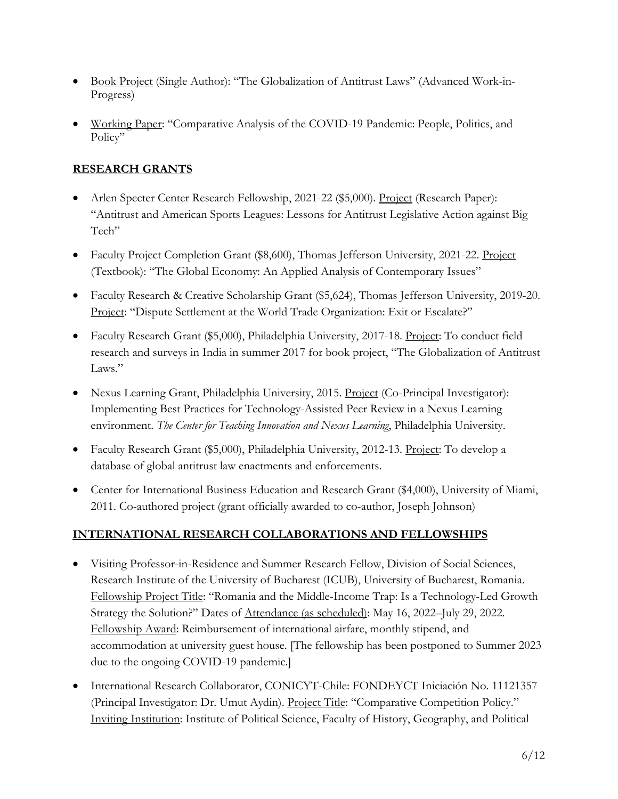- Book Project (Single Author): "The Globalization of Antitrust Laws" (Advanced Work-in-Progress)
- Working Paper: "Comparative Analysis of the COVID-19 Pandemic: People, Politics, and Policy"

# **RESEARCH GRANTS**

- Arlen Specter Center Research Fellowship, 2021-22 (\$5,000). Project (Research Paper): "Antitrust and American Sports Leagues: Lessons for Antitrust Legislative Action against Big Tech"
- Faculty Project Completion Grant (\$8,600), Thomas Jefferson University, 2021-22. Project (Textbook): "The Global Economy: An Applied Analysis of Contemporary Issues"
- Faculty Research & Creative Scholarship Grant (\$5,624), Thomas Jefferson University, 2019-20. Project: "Dispute Settlement at the World Trade Organization: Exit or Escalate?"
- Faculty Research Grant (\$5,000), Philadelphia University, 2017-18. Project: To conduct field research and surveys in India in summer 2017 for book project, "The Globalization of Antitrust Laws."
- Nexus Learning Grant, Philadelphia University, 2015. Project (Co-Principal Investigator): Implementing Best Practices for Technology-Assisted Peer Review in a Nexus Learning environment. *The Center for Teaching Innovation and Nexus Learning*, Philadelphia University.
- Faculty Research Grant (\$5,000), Philadelphia University, 2012-13. Project: To develop a database of global antitrust law enactments and enforcements.
- Center for International Business Education and Research Grant (\$4,000), University of Miami, 2011. Co-authored project (grant officially awarded to co-author, Joseph Johnson)

# **INTERNATIONAL RESEARCH COLLABORATIONS AND FELLOWSHIPS**

- Visiting Professor-in-Residence and Summer Research Fellow, Division of Social Sciences, Research Institute of the University of Bucharest (ICUB), University of Bucharest, Romania. Fellowship Project Title: "Romania and the Middle-Income Trap: Is a Technology-Led Growth Strategy the Solution?" Dates of <u>Attendance (as scheduled</u>): May 16, 2022–July 29, 2022. Fellowship Award: Reimbursement of international airfare, monthly stipend, and accommodation at university guest house. [The fellowship has been postponed to Summer 2023 due to the ongoing COVID-19 pandemic.]
- International Research Collaborator, CONICYT-Chile: FONDEYCT Iniciación No. 11121357 (Principal Investigator: Dr. Umut Aydin). Project Title: "Comparative Competition Policy." Inviting Institution: Institute of Political Science, Faculty of History, Geography, and Political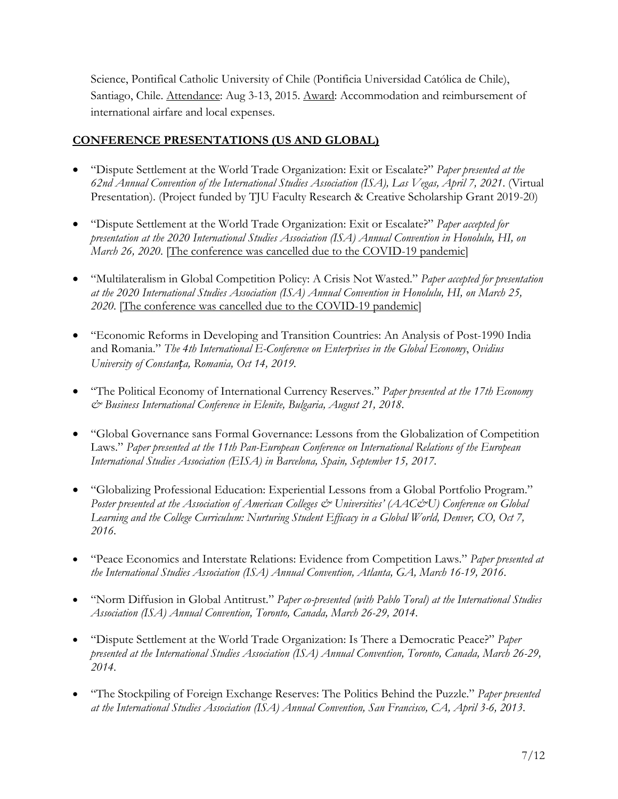Science, Pontifical Catholic University of Chile (Pontificia Universidad Católica de Chile), Santiago, Chile. Attendance: Aug 3-13, 2015. Award: Accommodation and reimbursement of international airfare and local expenses.

## **CONFERENCE PRESENTATIONS (US AND GLOBAL)**

- "Dispute Settlement at the World Trade Organization: Exit or Escalate?" *Paper presented at the 62nd Annual Convention of the International Studies Association (ISA), Las Vegas, April 7, 2021*. (Virtual Presentation). (Project funded by TJU Faculty Research & Creative Scholarship Grant 2019-20)
- "Dispute Settlement at the World Trade Organization: Exit or Escalate?" *Paper accepted for presentation at the 2020 International Studies Association (ISA) Annual Convention in Honolulu, HI, on March 26, 2020*. [The conference was cancelled due to the COVID-19 pandemic]
- "Multilateralism in Global Competition Policy: A Crisis Not Wasted." *Paper accepted for presentation at the 2020 International Studies Association (ISA) Annual Convention in Honolulu, HI, on March 25, 2020*. [The conference was cancelled due to the COVID-19 pandemic]
- "Economic Reforms in Developing and Transition Countries: An Analysis of Post-1990 India and Romania." *The 4th International E-Conference on Enterprises in the Global Economy*, *Ovidius University of Constanța, Romania, Oct 14, 2019.*
- "The Political Economy of International Currency Reserves." *Paper presented at the 17th Economy & Business International Conference in Elenite, Bulgaria, August 21, 2018*.
- "Global Governance sans Formal Governance: Lessons from the Globalization of Competition Laws." *Paper presented at the 11th Pan-European Conference on International Relations of the European International Studies Association (EISA) in Barcelona, Spain, September 15, 2017*.
- "Globalizing Professional Education: Experiential Lessons from a Global Portfolio Program." *Poster presented at the Association of American Colleges & Universities' (AAC&U) Conference on Global Learning and the College Curriculum: Nurturing Student Efficacy in a Global World, Denver, CO, Oct 7, 2016*.
- "Peace Economics and Interstate Relations: Evidence from Competition Laws." *Paper presented at the International Studies Association (ISA) Annual Convention, Atlanta, GA, March 16-19, 2016*.
- "Norm Diffusion in Global Antitrust." *Paper co-presented (with Pablo Toral) at the International Studies Association (ISA) Annual Convention, Toronto, Canada, March 26-29, 2014*.
- "Dispute Settlement at the World Trade Organization: Is There a Democratic Peace?" *Paper presented at the International Studies Association (ISA) Annual Convention, Toronto, Canada, March 26-29, 2014*.
- "The Stockpiling of Foreign Exchange Reserves: The Politics Behind the Puzzle." *Paper presented at the International Studies Association (ISA) Annual Convention, San Francisco, CA, April 3-6, 2013*.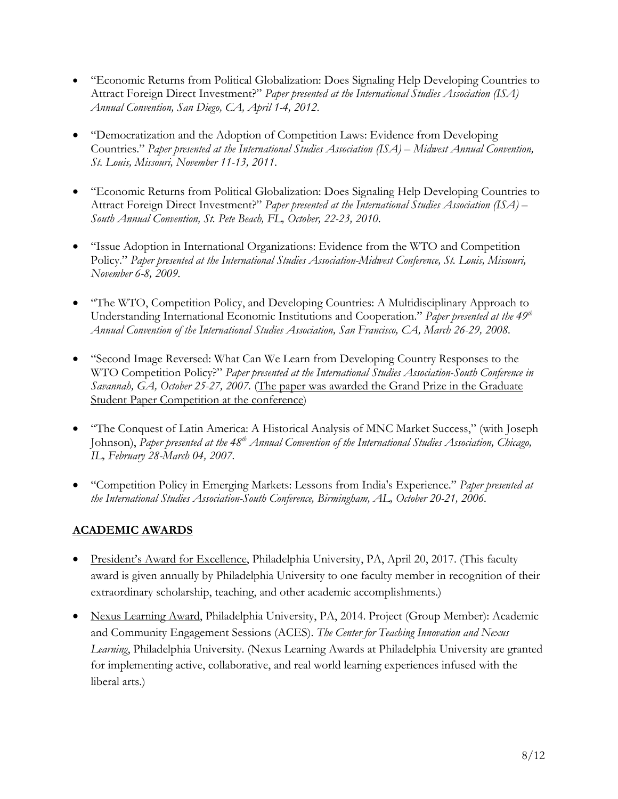- "Economic Returns from Political Globalization: Does Signaling Help Developing Countries to Attract Foreign Direct Investment?" *Paper presented at the International Studies Association (ISA) Annual Convention, San Diego, CA, April 1-4, 2012*.
- "Democratization and the Adoption of Competition Laws: Evidence from Developing Countries." *Paper presented at the International Studies Association (ISA) – Midwest Annual Convention, St. Louis, Missouri, November 11-13, 2011*.
- "Economic Returns from Political Globalization: Does Signaling Help Developing Countries to Attract Foreign Direct Investment?" *Paper presented at the International Studies Association (ISA) – South Annual Convention, St. Pete Beach, FL, October, 22-23, 2010*.
- "Issue Adoption in International Organizations: Evidence from the WTO and Competition Policy." *Paper presented at the International Studies Association-Midwest Conference, St. Louis, Missouri, November 6-8, 2009.*
- "The WTO, Competition Policy, and Developing Countries: A Multidisciplinary Approach to Understanding International Economic Institutions and Cooperation." *Paper presented at the 49th Annual Convention of the International Studies Association, San Francisco, CA, March 26-29, 2008.*
- "Second Image Reversed: What Can We Learn from Developing Country Responses to the WTO Competition Policy?" *Paper presented at the International Studies Association-South Conference in Savannah, GA, October 25-27, 2007.* (The paper was awarded the Grand Prize in the Graduate Student Paper Competition at the conference)
- "The Conquest of Latin America: A Historical Analysis of MNC Market Success," (with Joseph Johnson), Paper presented at the 48<sup>th</sup> *Annual Convention of the International Studies Association, Chicago, IL, February 28-March 04, 2007.*
- "Competition Policy in Emerging Markets: Lessons from India's Experience." *Paper presented at the International Studies Association-South Conference, Birmingham, AL, October 20-21, 2006.*

# **ACADEMIC AWARDS**

- President's Award for Excellence, Philadelphia University, PA, April 20, 2017. (This faculty award is given annually by Philadelphia University to one faculty member in recognition of their extraordinary scholarship, teaching, and other academic accomplishments.)
- Nexus Learning Award, Philadelphia University, PA, 2014. Project (Group Member): Academic and Community Engagement Sessions (ACES). *The Center for Teaching Innovation and Nexus Learning*, Philadelphia University. (Nexus Learning Awards at Philadelphia University are granted for implementing active, collaborative, and real world learning experiences infused with the liberal arts.)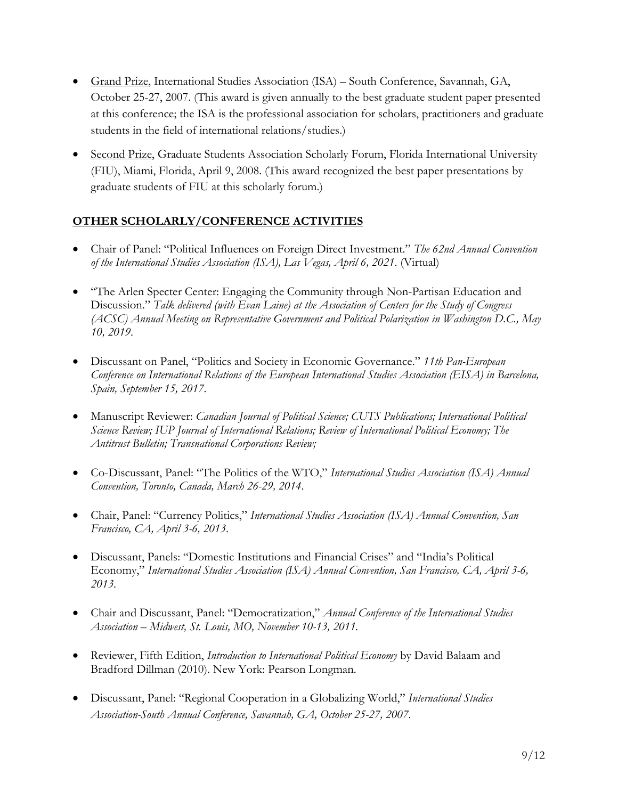- Grand Prize, International Studies Association (ISA) South Conference, Savannah, GA, October 25-27, 2007. (This award is given annually to the best graduate student paper presented at this conference; the ISA is the professional association for scholars, practitioners and graduate students in the field of international relations/studies.)
- Second Prize, Graduate Students Association Scholarly Forum, Florida International University (FIU), Miami, Florida, April 9, 2008. (This award recognized the best paper presentations by graduate students of FIU at this scholarly forum.)

## **OTHER SCHOLARLY/CONFERENCE ACTIVITIES**

- Chair of Panel: "Political Influences on Foreign Direct Investment." *The 62nd Annual Convention of the International Studies Association (ISA), Las Vegas, April 6, 2021*. (Virtual)
- "The Arlen Specter Center: Engaging the Community through Non-Partisan Education and Discussion." *Talk delivered (with Evan Laine) at the Association of Centers for the Study of Congress (ACSC) Annual Meeting on Representative Government and Political Polarization in Washington D.C., May 10, 2019*.
- Discussant on Panel, "Politics and Society in Economic Governance." *11th Pan-European Conference on International Relations of the European International Studies Association (EISA) in Barcelona, Spain, September 15, 2017*.
- Manuscript Reviewer: *Canadian Journal of Political Science; CUTS Publications; International Political Science Review; IUP Journal of International Relations; Review of International Political Economy; The Antitrust Bulletin; Transnational Corporations Review;*
- Co-Discussant, Panel: "The Politics of the WTO," *International Studies Association (ISA) Annual Convention, Toronto, Canada, March 26-29, 2014*.
- Chair, Panel: "Currency Politics," *International Studies Association (ISA) Annual Convention, San Francisco, CA, April 3-6, 2013*.
- Discussant, Panels: "Domestic Institutions and Financial Crises" and "India's Political Economy," *International Studies Association (ISA) Annual Convention, San Francisco, CA, April 3-6, 2013*.
- Chair and Discussant, Panel: "Democratization," *Annual Conference of the International Studies Association – Midwest, St. Louis, MO, November 10-13, 2011.*
- Reviewer, Fifth Edition, *Introduction to International Political Economy* by David Balaam and Bradford Dillman (2010). New York: Pearson Longman.
- Discussant, Panel: "Regional Cooperation in a Globalizing World," *International Studies Association-South Annual Conference, Savannah, GA, October 25-27, 2007*.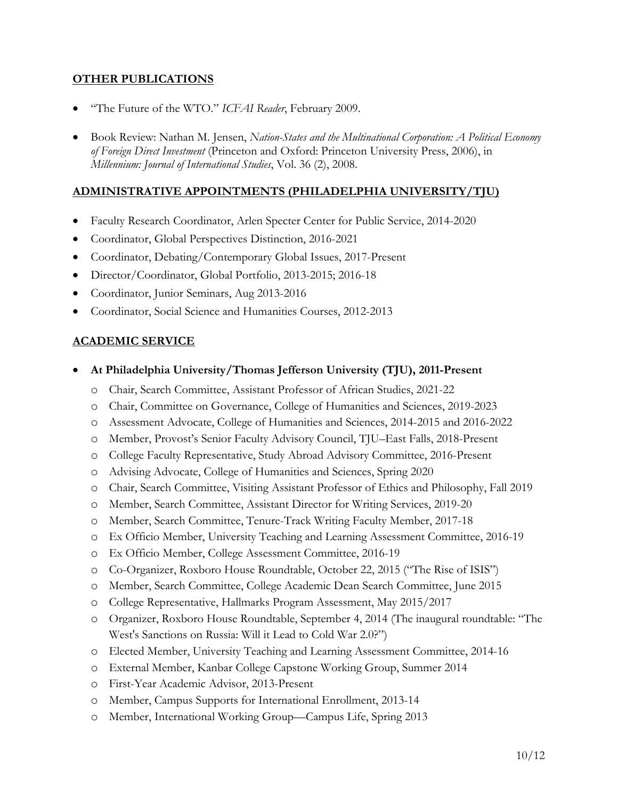## **OTHER PUBLICATIONS**

- "The Future of the WTO." *ICFAI Reader*, February 2009.
- Book Review: Nathan M. Jensen, *Nation-States and the Multinational Corporation: A Political Economy of Foreign Direct Investment* (Princeton and Oxford: Princeton University Press, 2006), in *Millennium: Journal of International Studies*, Vol. 36 (2), 2008.

## **ADMINISTRATIVE APPOINTMENTS (PHILADELPHIA UNIVERSITY/TJU)**

- Faculty Research Coordinator, Arlen Specter Center for Public Service, 2014-2020
- Coordinator, Global Perspectives Distinction, 2016-2021
- Coordinator, Debating/Contemporary Global Issues, 2017-Present
- Director/Coordinator, Global Portfolio, 2013-2015; 2016-18
- Coordinator, Junior Seminars, Aug 2013-2016
- Coordinator, Social Science and Humanities Courses, 2012-2013

## **ACADEMIC SERVICE**

- **At Philadelphia University/Thomas Jefferson University (TJU), 2011-Present**
	- o Chair, Search Committee, Assistant Professor of African Studies, 2021-22
	- o Chair, Committee on Governance, College of Humanities and Sciences, 2019-2023
	- o Assessment Advocate, College of Humanities and Sciences, 2014-2015 and 2016-2022
	- o Member, Provost's Senior Faculty Advisory Council, TJU–East Falls, 2018-Present
	- o College Faculty Representative, Study Abroad Advisory Committee, 2016-Present
	- o Advising Advocate, College of Humanities and Sciences, Spring 2020
	- o Chair, Search Committee, Visiting Assistant Professor of Ethics and Philosophy, Fall 2019
	- o Member, Search Committee, Assistant Director for Writing Services, 2019-20
	- o Member, Search Committee, Tenure-Track Writing Faculty Member, 2017-18
	- o Ex Officio Member, University Teaching and Learning Assessment Committee, 2016-19
	- o Ex Officio Member, College Assessment Committee, 2016-19
	- o Co-Organizer, Roxboro House Roundtable, October 22, 2015 ("The Rise of ISIS")
	- o Member, Search Committee, College Academic Dean Search Committee, June 2015
	- o College Representative, Hallmarks Program Assessment, May 2015/2017
	- o Organizer, Roxboro House Roundtable, September 4, 2014 (The inaugural roundtable: "The West's Sanctions on Russia: Will it Lead to Cold War 2.0?")
	- o Elected Member, University Teaching and Learning Assessment Committee, 2014-16
	- o External Member, Kanbar College Capstone Working Group, Summer 2014
	- o First-Year Academic Advisor, 2013-Present
	- o Member, Campus Supports for International Enrollment, 2013-14
	- o Member, International Working Group—Campus Life, Spring 2013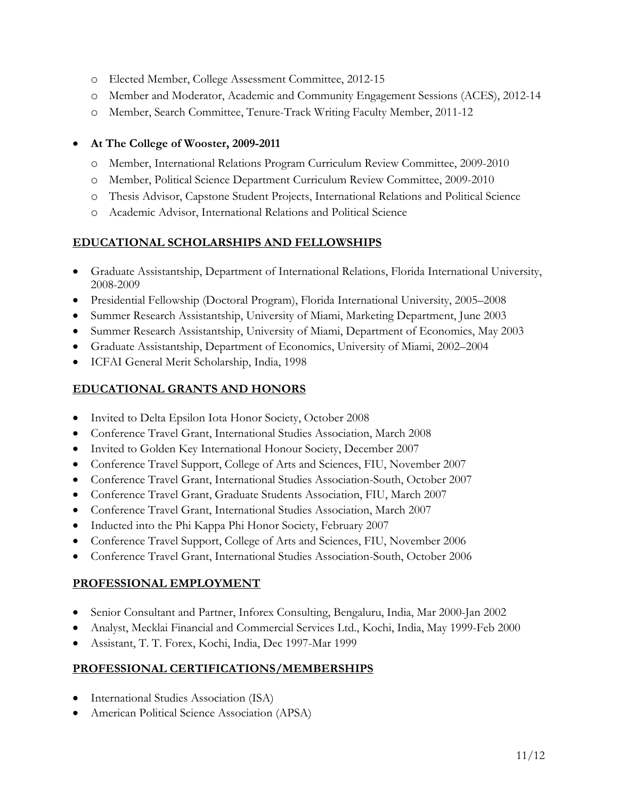- o Elected Member, College Assessment Committee, 2012-15
- o Member and Moderator, Academic and Community Engagement Sessions (ACES), 2012-14
- o Member, Search Committee, Tenure-Track Writing Faculty Member, 2011-12

#### • **At The College of Wooster, 2009-2011**

- o Member, International Relations Program Curriculum Review Committee, 2009-2010
- o Member, Political Science Department Curriculum Review Committee, 2009-2010
- o Thesis Advisor, Capstone Student Projects, International Relations and Political Science
- o Academic Advisor, International Relations and Political Science

## **EDUCATIONAL SCHOLARSHIPS AND FELLOWSHIPS**

- Graduate Assistantship, Department of International Relations, Florida International University, 2008-2009
- Presidential Fellowship (Doctoral Program), Florida International University, 2005–2008
- Summer Research Assistantship, University of Miami, Marketing Department, June 2003
- Summer Research Assistantship, University of Miami, Department of Economics, May 2003
- Graduate Assistantship, Department of Economics, University of Miami, 2002–2004
- ICFAI General Merit Scholarship, India, 1998

## **EDUCATIONAL GRANTS AND HONORS**

- Invited to Delta Epsilon Iota Honor Society, October 2008
- Conference Travel Grant, International Studies Association, March 2008
- Invited to Golden Key International Honour Society, December 2007
- Conference Travel Support, College of Arts and Sciences, FIU, November 2007
- Conference Travel Grant, International Studies Association-South, October 2007
- Conference Travel Grant, Graduate Students Association, FIU, March 2007
- Conference Travel Grant, International Studies Association, March 2007
- Inducted into the Phi Kappa Phi Honor Society, February 2007
- Conference Travel Support, College of Arts and Sciences, FIU, November 2006
- Conference Travel Grant, International Studies Association-South, October 2006

## **PROFESSIONAL EMPLOYMENT**

- Senior Consultant and Partner, Inforex Consulting, Bengaluru, India, Mar 2000-Jan 2002
- Analyst, Mecklai Financial and Commercial Services Ltd., Kochi, India, May 1999-Feb 2000
- Assistant, T. T. Forex, Kochi, India, Dec 1997-Mar 1999

## **PROFESSIONAL CERTIFICATIONS/MEMBERSHIPS**

- International Studies Association (ISA)
- American Political Science Association (APSA)